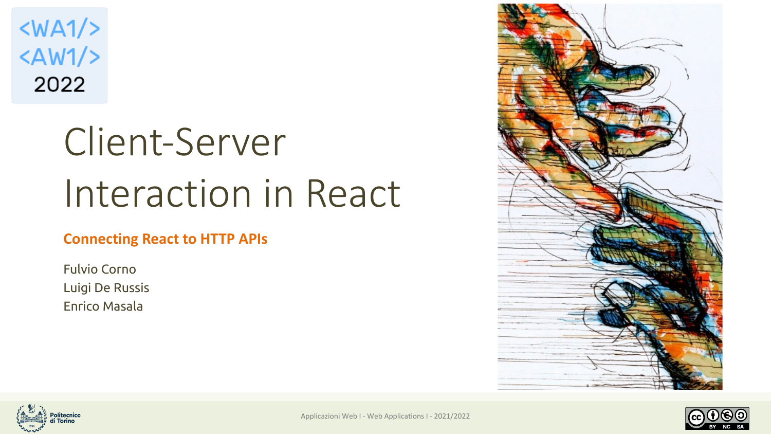$\langle WA1/$  $<$ AW1/> 2022

# Client-Server Interaction in React

#### **Connecting React to HTTP APIs**

Fulvio Corno Luigi De Russis Enrico Masala





Applicazioni Web I - Web Applications I - 2021/2022

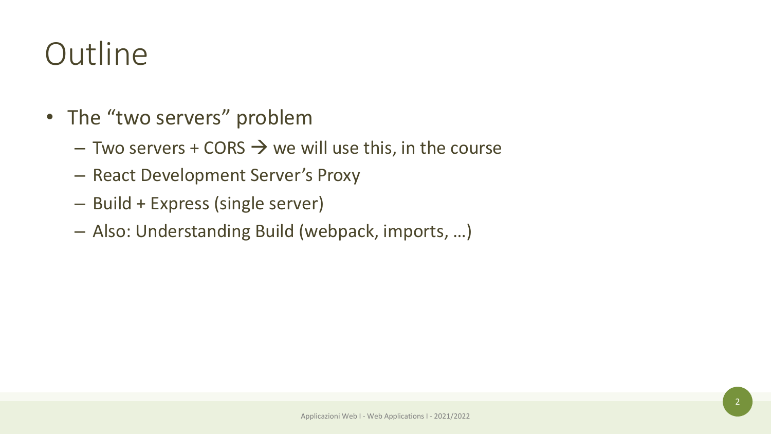#### **Outline**

- The "two servers" problem
	- Two servers + CORS  $\rightarrow$  we will use this, in the course
	- React Development Server's Proxy
	- Build + Express (single server)
	- Also: Understanding Build (webpack, imports, …)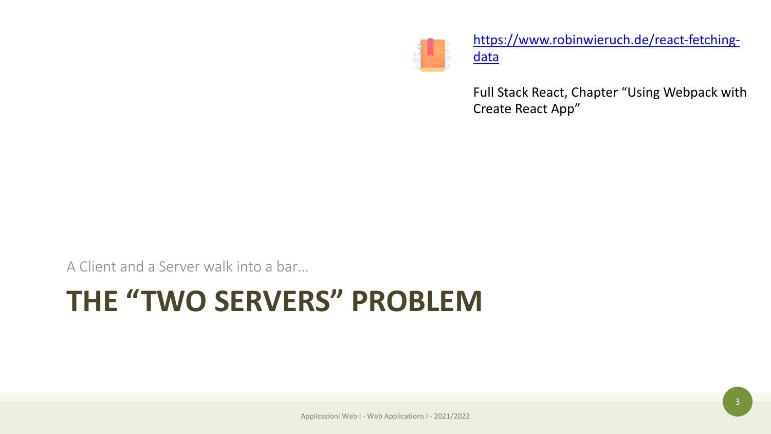#### **THE "TWO SERVERS" PROBLEM**

A Client and a Server walk into a bar…



Ful Cre

<u>htt</u>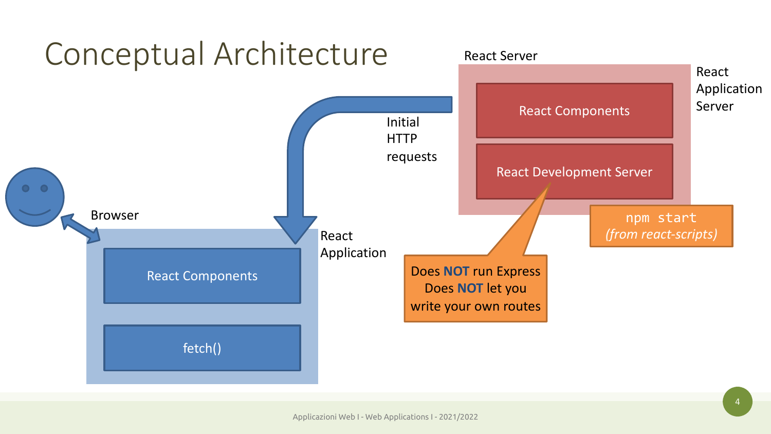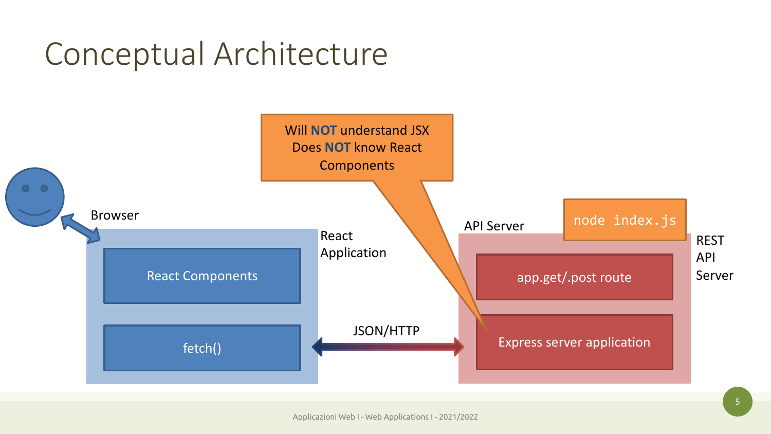#### Conceptual Architecture

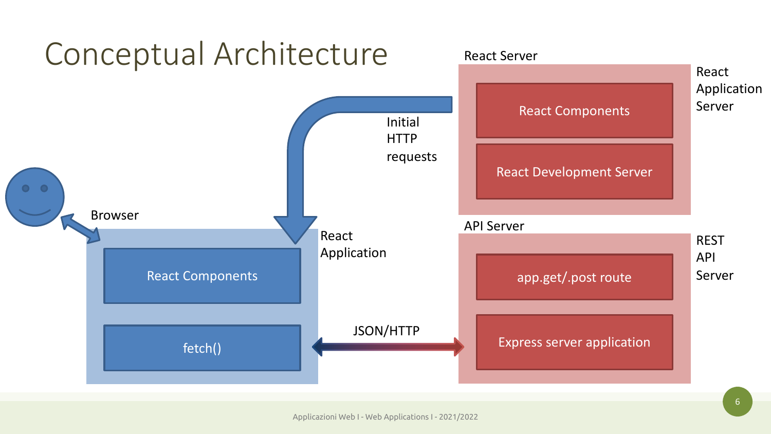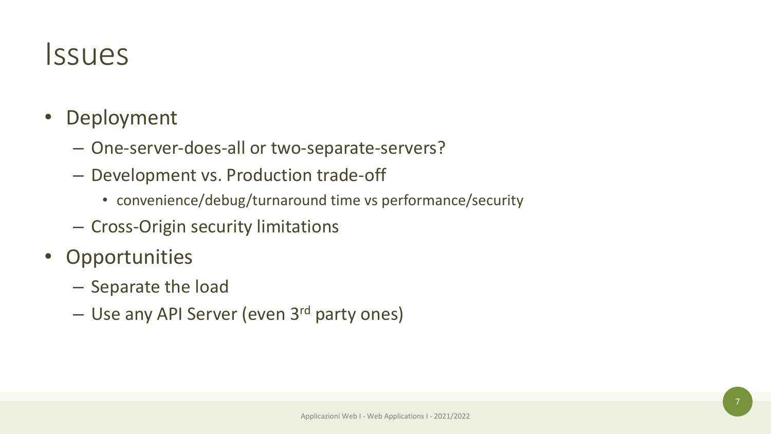#### Issues

- Deployment
	- One-server-does-all or two-separate-servers?
	- Development vs. Production trade-off
		- convenience/debug/turnaround time vs performance/security
	- Cross-Origin security limitations
- Opportunities
	- Separate the load
	- Use any API Server (even 3<sup>rd</sup> party ones)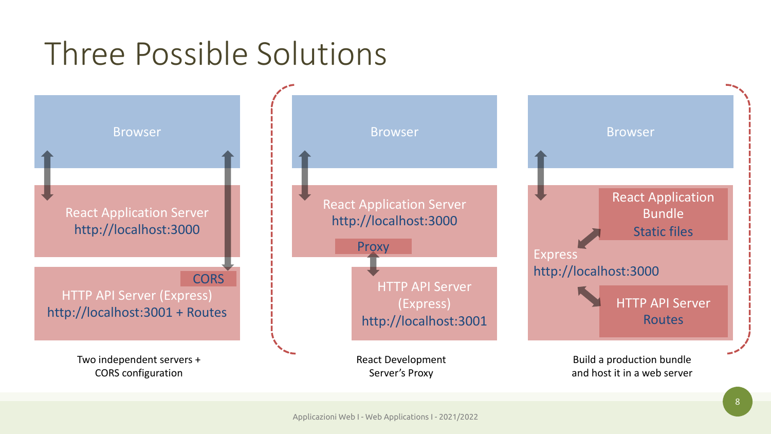#### Three Possible Solutions

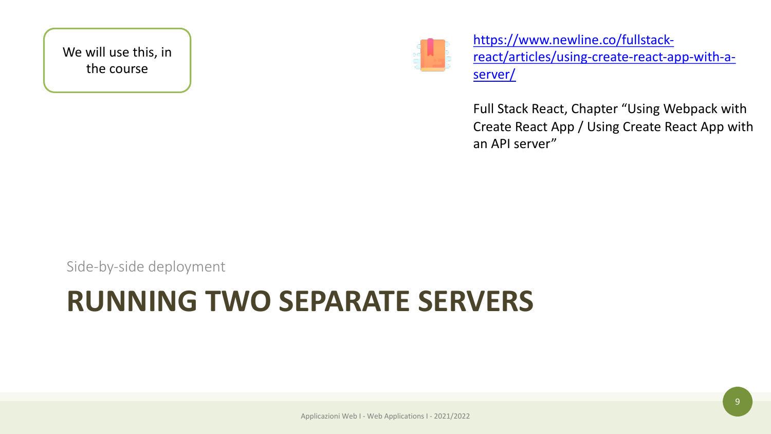Applicazioni Web I - Web Applications I - 2021/2022

Side-by-side deployment

**RUNNING TWO SEPARATE SERVI** 

We will use this, in the course



htt rea ser

Ful Cre

an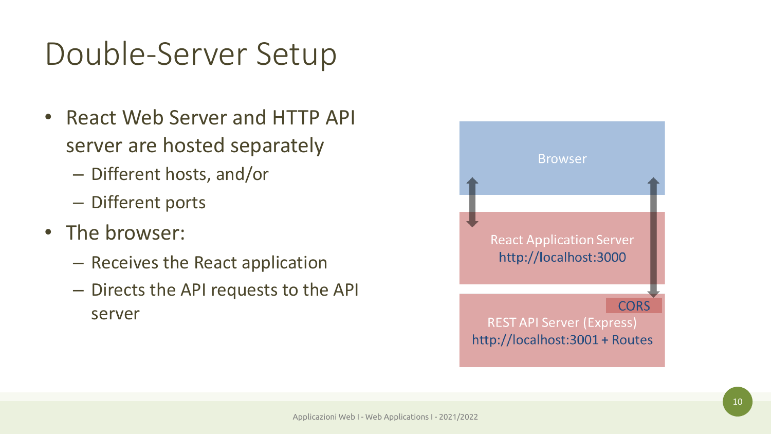#### Double-Server Setup

- React Web Server and HTTP API server are hosted separately
	- Different hosts, and/or
	- Different ports
- The browser:
	- Receives the React application
	- Directs the API requests to the API server

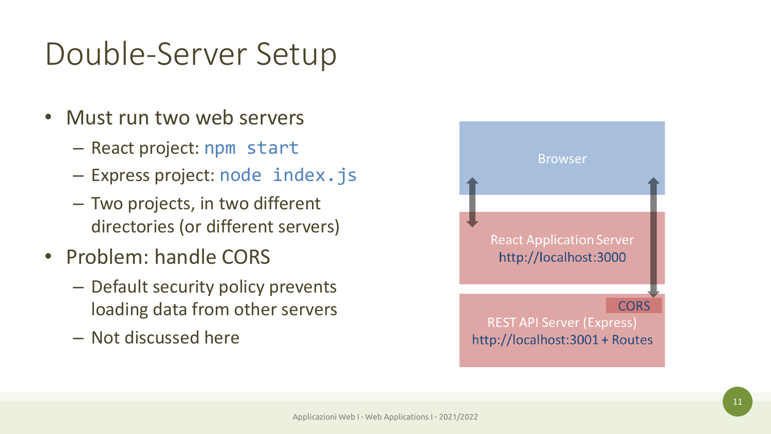#### Double-Server Setup

- Must run two web servers
	- React project: npm start
	- Express project: node index.js
	- Two projects, in two different directories (or different servers)
- Problem: handle CORS
	- Default security policy prevents loading data from other servers
	- Not discussed here

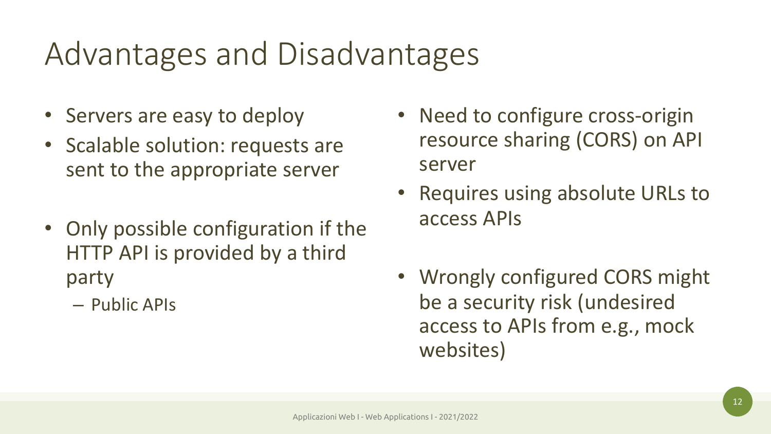#### Advantages and Disadvantages

- Servers are easy to deploy
- Scalable solution: requests are sent to the appropriate server
- Only possible configuration if the HTTP API is provided by a third party
	- Public APIs
- Need to configure cross-origin resource sharing (CORS) on API server
- Requires using absolute URLs to access APIs
- Wrongly configured CORS might be a security risk (undesired access to APIs from e.g., mock websites)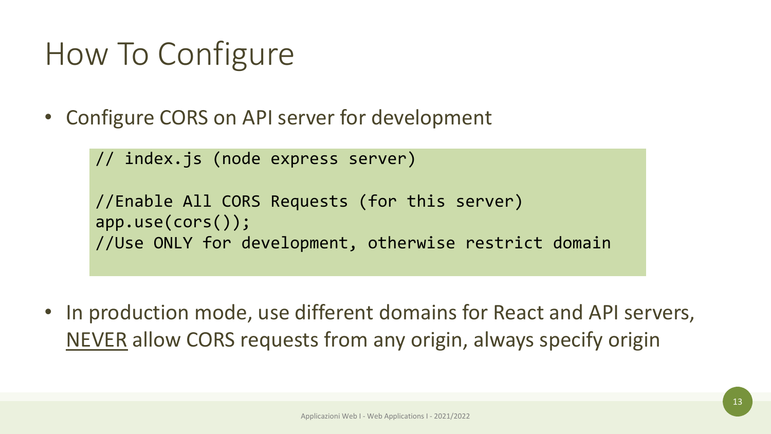### How To Configure

• Configure CORS on API server for development

```
// index.js (node express server)
//Enable All CORS Requests (for this server)
app.use(cors());
//Use ONLY for development, otherwise restrict domain
```
• In production mode, use different domains for React and API servers, NEVER allow CORS requests from any origin, always specify origin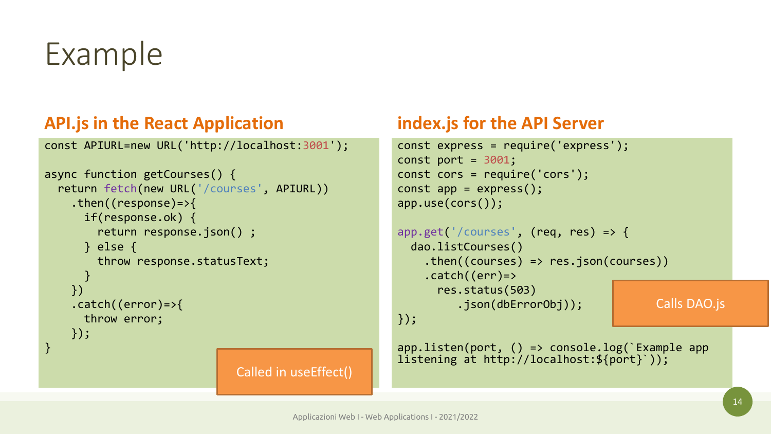#### Example

#### **API.js in the React Application**

```
const APIURL=new URL('http://localhost:3001');
```

```
async function getCourses() {
 return fetch(new URL('/courses', APIURL))
    .then((response)=>{
      if(response.ok) {
        return response.json() ;
     } else {
        throw response.statusText;
      }
    })
    .catch((error)=>throw error;
    });
}
                              Called in useEffect()
```
#### **index.js for the API Server**

```
const express = require('express');
const port = 3001;
const cors = require('cors');
const app = express();
app.use(cors());
```

```
app.get('/courses', (\text{req}, \text{res}) \Rightarrow {
  dao.listCourses()
    .then((courses) => res.json(courses))
    .catch((err)=>)res.status(503)
          .json(dbErrorObj));
});
```
Calls DAO.js

```
app.listen(port, () => console.log(`Example app 
listening at http://localhost:${port}`));
```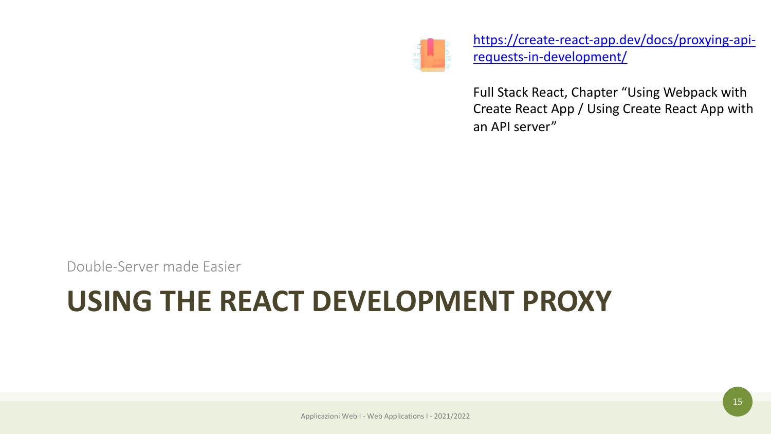#### **USING THE REACT DEVELOPMEN**

Double-Server made Easier



Ful Cre an

htt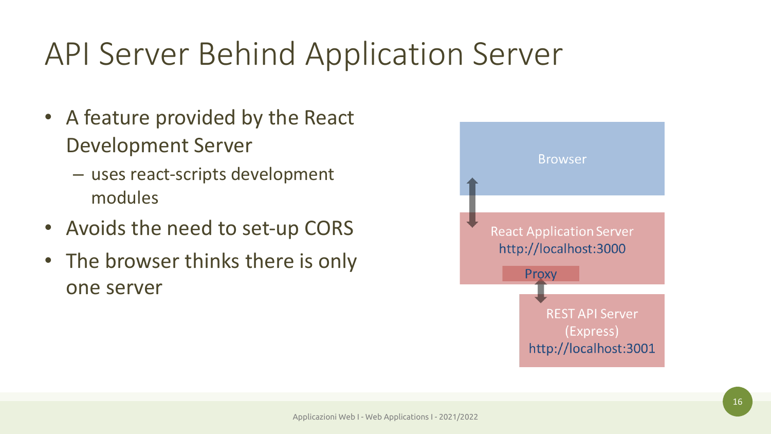#### API Server Behind Application Server

- A feature provided by the React Development Server
	- uses react-scripts development modules
- Avoids the need to set-up CORS
- The browser thinks there is only one server

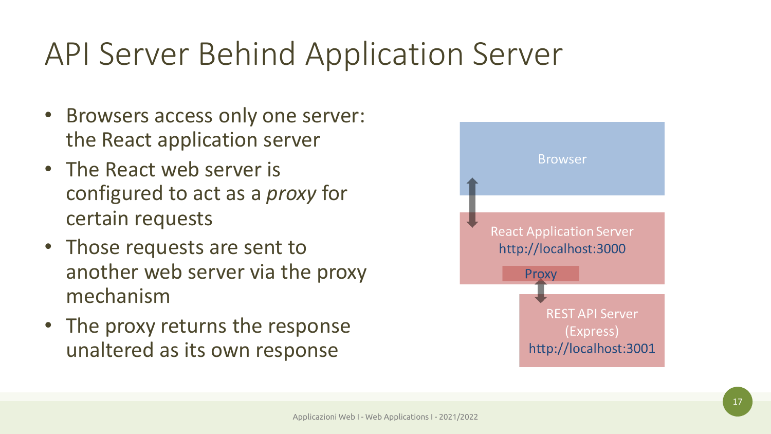#### API Server Behind Application Server

- Browsers access only one server: the React application server
- The React web server is configured to act as a *proxy* for certain requests
- Those requests are sent to another web server via the proxy mechanism
- The proxy returns the response unaltered as its own response

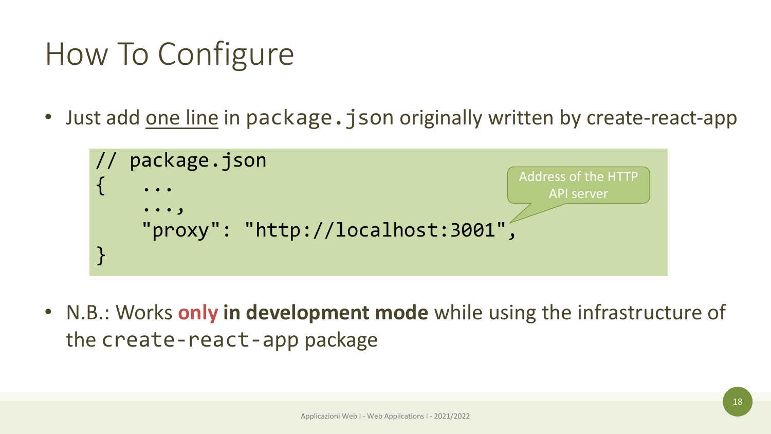### How To Configure

• Just add one line in package. json originally written by create-react-app



• N.B.: Works **only in development mode** while using the infrastructure of the create-react-app package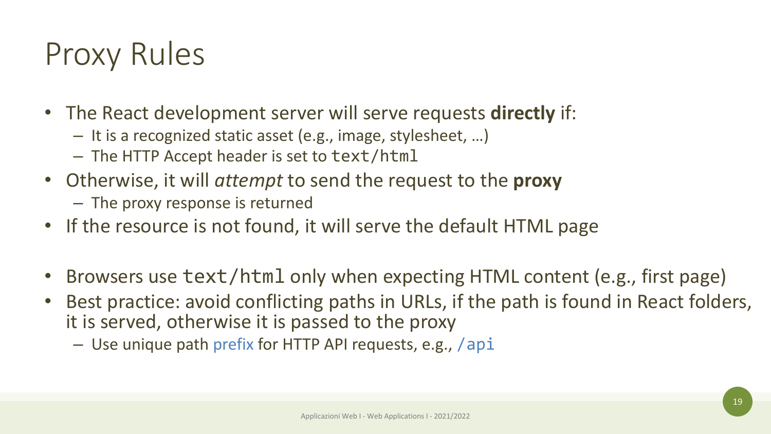#### Proxy Rules

- The React development server will serve requests **directly** if:
	- It is a recognized static asset (e.g., image, stylesheet, …)
	- The HTTP Accept header is set to text/html
- Otherwise, it will *attempt* to send the request to the **proxy**
	- The proxy response is returned
- If the resource is not found, it will serve the default HTML page
- Browsers use text/html only when expecting HTML content (e.g., first page)
- Best practice: avoid conflicting paths in URLs, if the path is found in React folders, it is served, otherwise it is passed to the proxy
	- Use unique path prefix for HTTP API requests, e.g., /api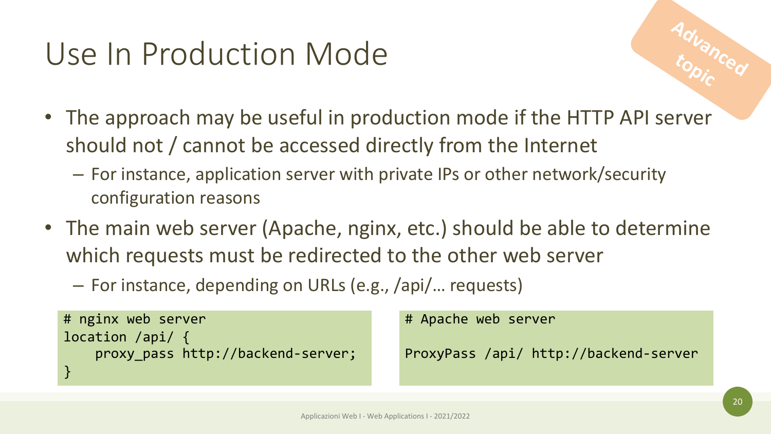#### Use In Production Mode

- The approach may be useful in production mode if the HTTP API server should not / cannot be accessed directly from the Internet
	- For instance, application server with private IPs or other network/security configuration reasons
- The main web server (Apache, nginx, etc.) should be able to determine which requests must be redirected to the other web server
	- For instance, depending on URLs (e.g., /api/… requests)

```
# nginx web server
location /api/ {
    proxy_pass http://backend-server;
}
```
# Apache web server

```
ProxyPass /api/ http://backend-server
```
Advanced

**topic**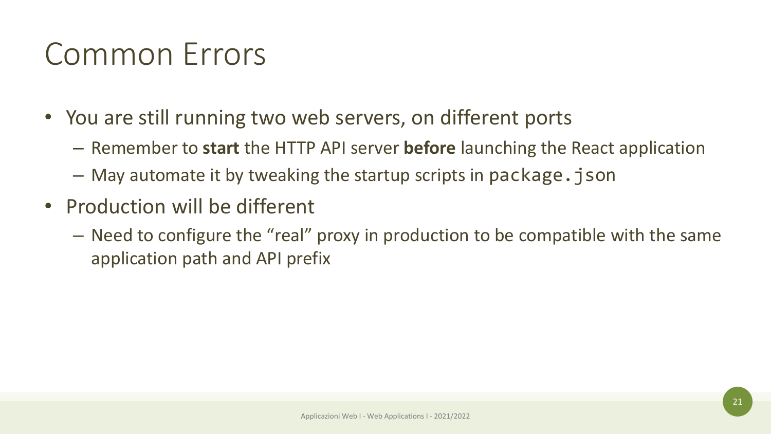#### Common Errors

- You are still running two web servers, on different ports
	- Remember to **start** the HTTP API server **before** launching the React application
	- May automate it by tweaking the startup scripts in package.json
- Production will be different
	- Need to configure the "real" proxy in production to be compatible with the same application path and API prefix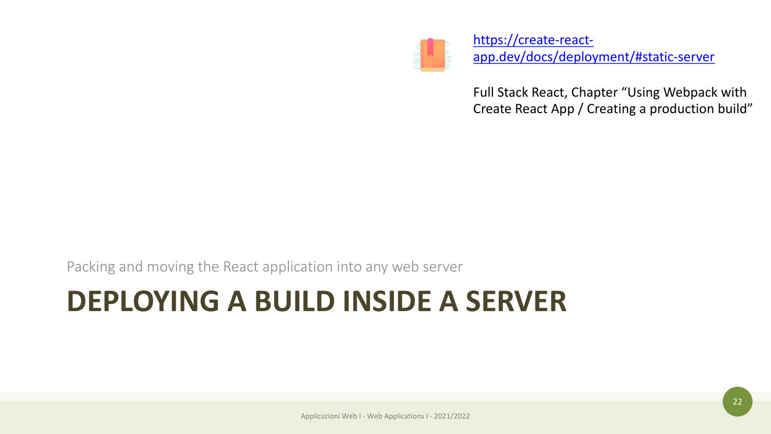### **DEPLOYING A BUILD INSIDE A SE**

Packing and moving the React application into any web server



Ful Cre

htt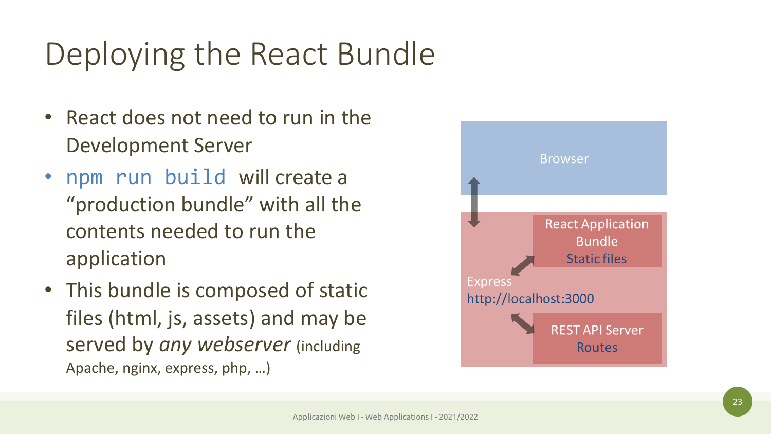### Deploying the React Bundle

- React does not need to run in the Development Server
- npm run build will create a "production bundle" with all the contents needed to run the application
- This bundle is composed of static files (html, js, assets) and may be served by *any webserver* (including Apache, nginx, express, php, …)

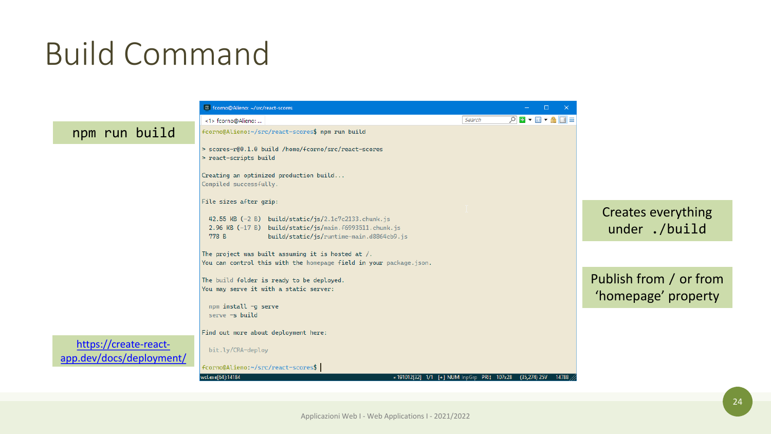#### Build Command

#### npm [run build](https://create-react-app.dev/docs/deployment/)

#### E fcorno@Alieno: ~/src/react-scores

wsl.exe[64]:1418

| <1> fcorno@Alieno:                                                                                                                                                 | Search |
|--------------------------------------------------------------------------------------------------------------------------------------------------------------------|--------|
| fcorno@Alieno:~/src/react-scores\$ npm run build                                                                                                                   |        |
| > scores-r@0.1.0 build /home/fcorno/src/react-scores<br>> react-scripts build                                                                                      |        |
| Creating an optimized production build<br>Compiled successfully.                                                                                                   |        |
| File sizes after gzip:                                                                                                                                             |        |
| 42.55 KB (-2 B) build/static/js/2.1c7c2133.chunk.js<br>2.96 KB (-17 B) build/static/js/main.f6993511.chunk.js<br>build/static/js/runtime-main.d8864cb9.js<br>778 B |        |
| The project was built assuming it is hosted at $/$ .<br>You can control this with the homepage field in your package.json.                                         |        |
| The build folder is ready to be deployed.<br>You may serve it with a static server:                                                                                |        |
| npm install -q serve<br>$serve -s$ build                                                                                                                           |        |
| Find out more about deployment here:                                                                                                                               |        |
| bit.ly/CRA-deploy                                                                                                                                                  |        |
| fcorno@Alieno:~/src/react-scores\$                                                                                                                                 |        |

https://create-reactapp.dev/docs/deployment/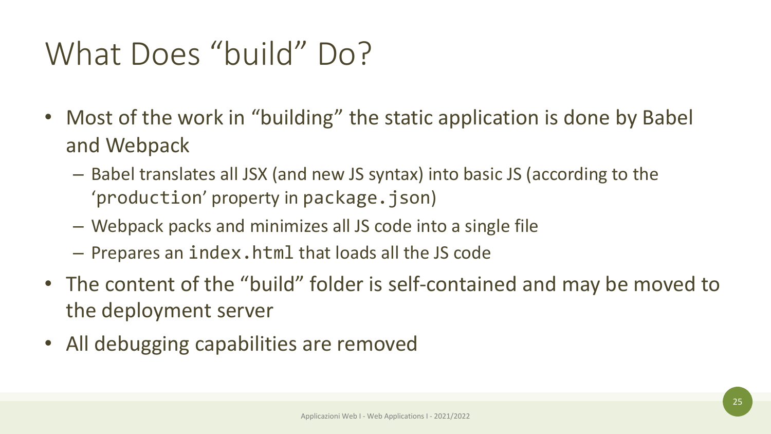### What Does "build" Do?

- Most of the work in "building" the static application is done by Babel and Webpack
	- Babel translates all JSX (and new JS syntax) into basic JS (according to the 'production' property in package.json)
	- Webpack packs and minimizes all JS code into a single file
	- Prepares an index.html that loads all the JS code
- The content of the "build" folder is self-contained and may be moved to the deployment server
- All debugging capabilities are removed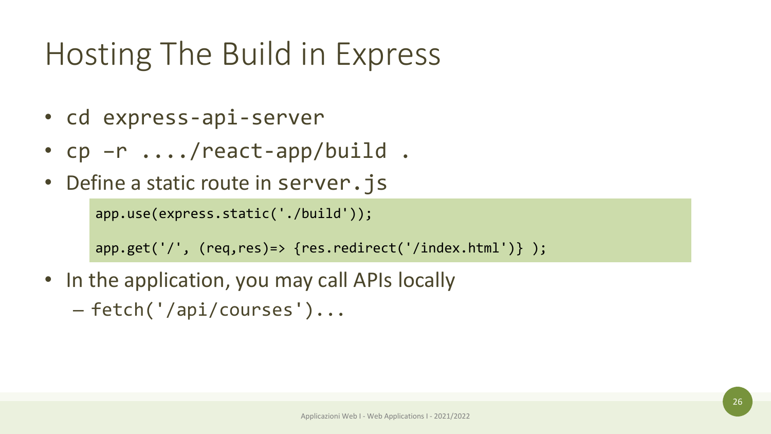### Hosting The Build in Express

- cd express-api-server
- cp –r ..../react-app/build .
- Define a static route in server. js app.use(express.static('./build')); app.get('/', (req,res)=> {res.redirect('/index.html')} );
- In the application, you may call APIs locally
	- fetch('/api/courses')...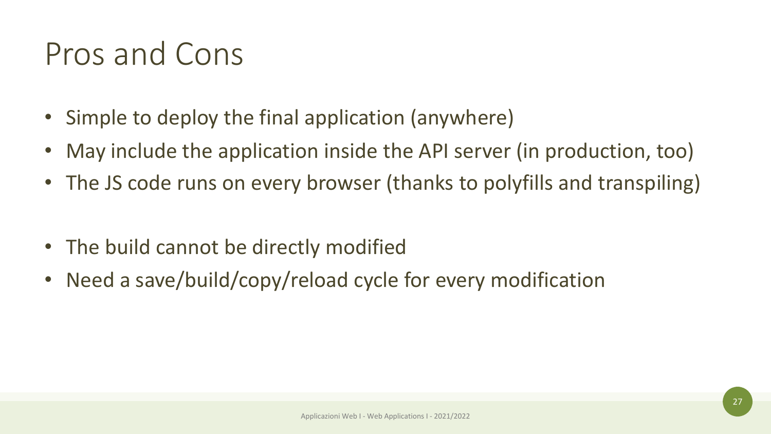#### Pros and Cons

- Simple to deploy the final application (anywhere)
- May include the application inside the API server (in production, too)
- The JS code runs on every browser (thanks to polyfills and transpiling)
- The build cannot be directly modified
- Need a save/build/copy/reload cycle for every modification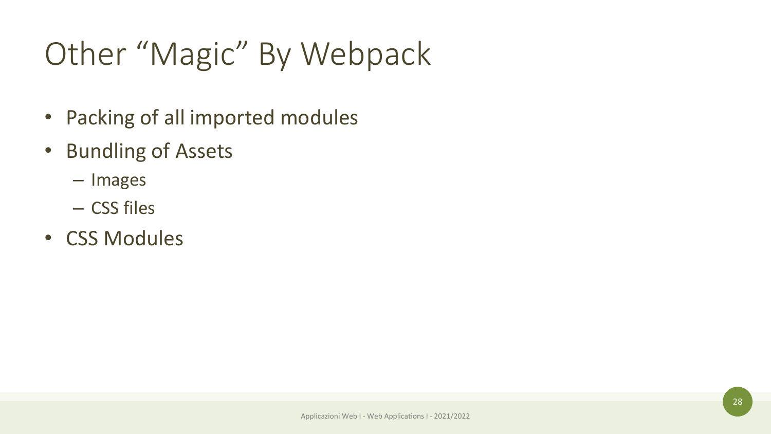## Other "Magic" By Webpack

- Packing of all imported modules
- Bundling of Assets
	- Images
	- CSS files
- CSS Modules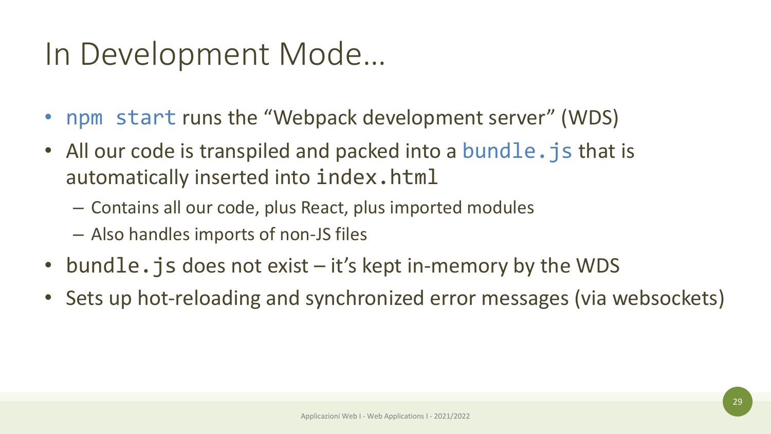#### In Development Mode…

- npm start runs the "Webpack development server" (WDS)
- All our code is transpiled and packed into a bundle. js that is automatically inserted into index.html
	- Contains all our code, plus React, plus imported modules
	- Also handles imports of non-JS files
- bundle. js does not exist it's kept in-memory by the WDS
- Sets up hot-reloading and synchronized error messages (via websockets)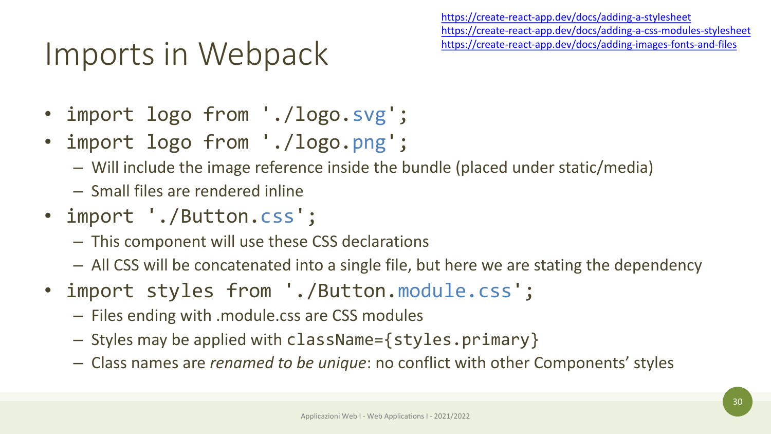https://cre https://cre https://cre

### Imports in Webpack

- import logo from './logo.svg';
- import logo from './logo.png';
	- Will include the image reference inside the bundle (place
	- Small files are rendered inline
- import './Button.css';
	- This component will use these CSS declarations
	- All CSS will be concatenated into a single file, but here we
- import styles from './Button.module.c
	- Files ending with .module.css are CSS modules
	- $-$  Styles may be applied with className={styles.pri
	- Class names are *renamed to be unique*: no conflict with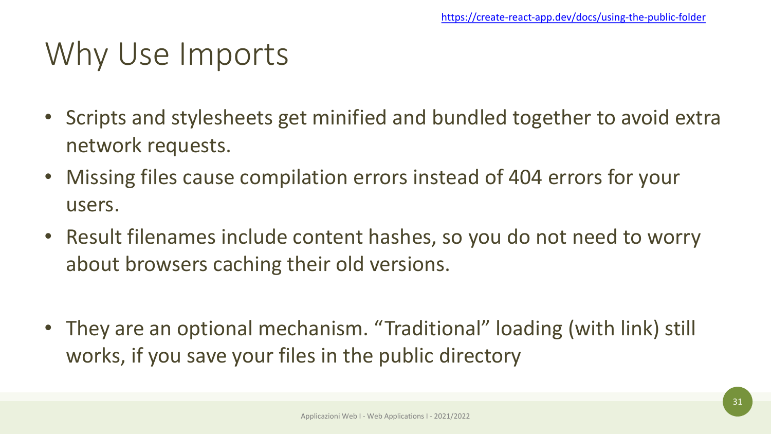#### Why Use Imports

- Scripts and stylesheets get minified and bundle network requests.
- Missing files cause compilation errors instead of users.
- Result filenames include content hashes, so yo about browsers caching their old versions.
- They are an optional mechanism. "Traditional" works, if you save your files in the public direct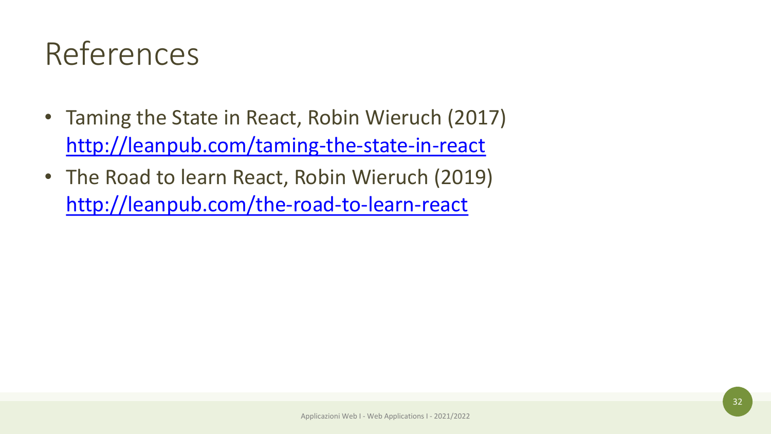### References

- Taming the State in React, Robin Wieruch (2017) http://leanpub.com/taming-the-state-in-react
- The Road to learn React, Robin Wieruch (2019) http://leanpub.com/the-road-to-learn-react